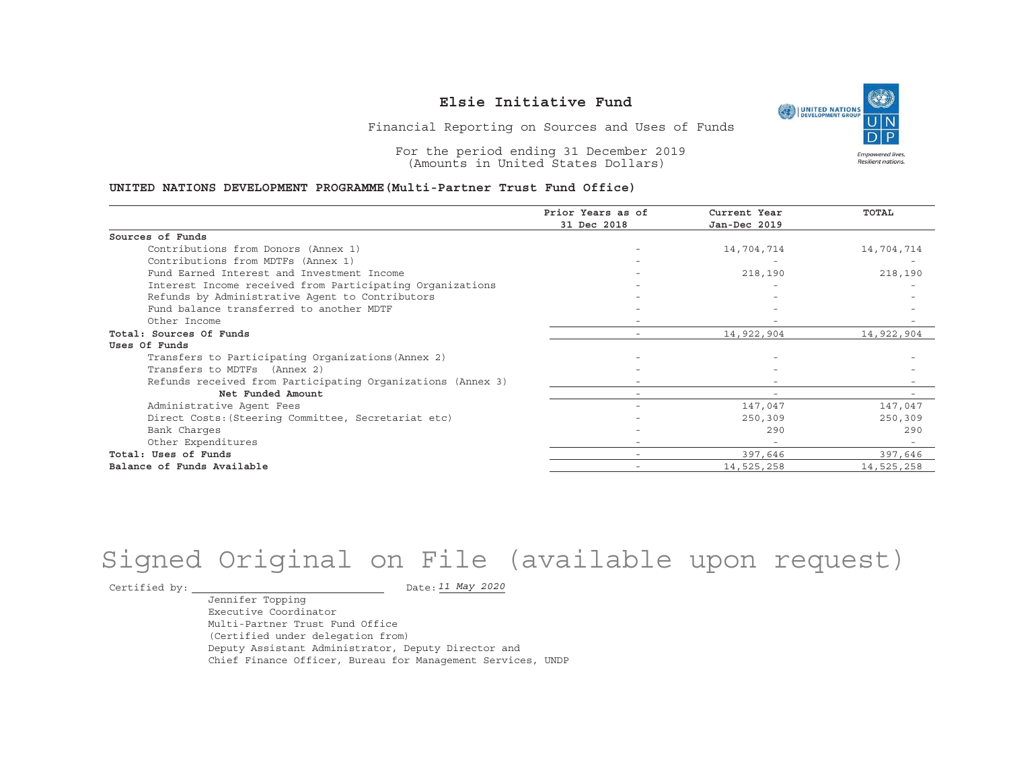UNITED NATIONS **Empowered lives** Resilient nations.

Financial Reporting on Sources and Uses of Funds

For the period ending 31 December 2019 (Amounts in United States Dollars)

#### **UNITED NATIONS DEVELOPMENT PROGRAMME(Multi-Partner Trust Fund Office)**

|                                                             | Prior Years as of | Current Year             | TOTAL                    |
|-------------------------------------------------------------|-------------------|--------------------------|--------------------------|
|                                                             | 31 Dec 2018       | Jan-Dec 2019             |                          |
| Sources of Funds                                            |                   |                          |                          |
| Contributions from Donors (Annex 1)                         |                   | 14,704,714               | 14,704,714               |
| Contributions from MDTFs (Annex 1)                          |                   |                          |                          |
| Fund Earned Interest and Investment Income                  |                   | 218,190                  | 218,190                  |
| Interest Income received from Participating Organizations   |                   |                          |                          |
| Refunds by Administrative Agent to Contributors             |                   |                          |                          |
| Fund balance transferred to another MDTF                    |                   |                          |                          |
| Other Income                                                |                   |                          |                          |
| Total: Sources Of Funds                                     |                   | 14,922,904               | 14,922,904               |
| Uses Of Funds                                               |                   |                          |                          |
| Transfers to Participating Organizations (Annex 2)          |                   |                          |                          |
| Transfers to MDTFs (Annex 2)                                |                   |                          |                          |
| Refunds received from Participating Organizations (Annex 3) |                   |                          |                          |
| Net Funded Amount                                           |                   |                          |                          |
| Administrative Agent Fees                                   |                   | 147,047                  | 147,047                  |
| Direct Costs: (Steering Committee, Secretariat etc)         |                   | 250,309                  | 250,309                  |
| Bank Charges                                                |                   | 290                      | 290                      |
| Other Expenditures                                          |                   | $\overline{\phantom{a}}$ | $\overline{\phantom{0}}$ |
| Total: Uses of Funds                                        |                   | 397,646                  | 397,646                  |
| Balance of Funds Available                                  |                   | 14,525,258               | 14,525,258               |

# Signed Original on File (available upon request)

Certified by:  $\overline{\phantom{a}}$ 

*11 May 2020*

Jennifer Topping Executive CoordinatorMulti-Partner Trust Fund Office(Certified under delegation from) Deputy Assistant Administrator, Deputy Director and Chief Finance Officer, Bureau for Management Services, UNDP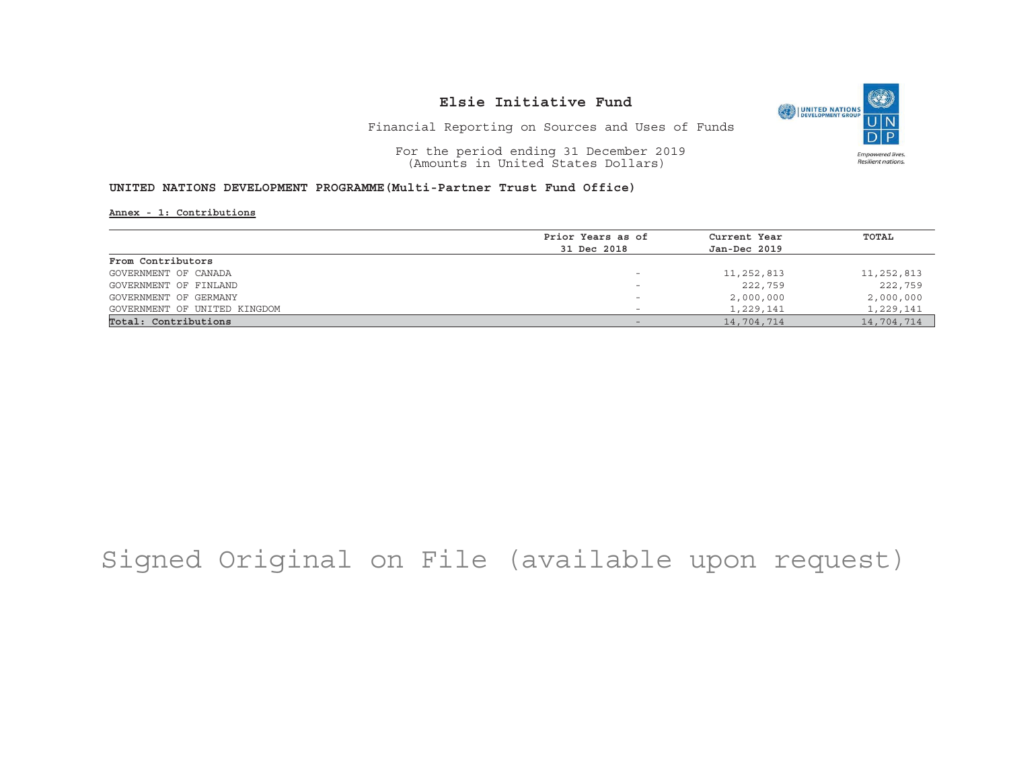

Financial Reporting on Sources and Uses of Funds

For the period ending 31 December 2019 (Amounts in United States Dollars)

#### **UNITED NATIONS DEVELOPMENT PROGRAMME(Multi-Partner Trust Fund Office)**

**Annex - 1: Contributions**

|                              | Prior Years as of | Current Year | TOTAL      |
|------------------------------|-------------------|--------------|------------|
|                              | 31 Dec 2018       | Jan-Dec 2019 |            |
| From Contributors            |                   |              |            |
| GOVERNMENT OF CANADA         |                   | 11,252,813   | 11,252,813 |
| GOVERNMENT OF FINLAND        | -                 | 222,759      | 222,759    |
| GOVERNMENT OF GERMANY        |                   | 2,000,000    | 2,000,000  |
| GOVERNMENT OF UNITED KINGDOM |                   | 1,229,141    | 1,229,141  |
| Total: Contributions         |                   | 14,704,714   | 14,704,714 |
|                              |                   |              |            |

# Signed Original on File (available upon request)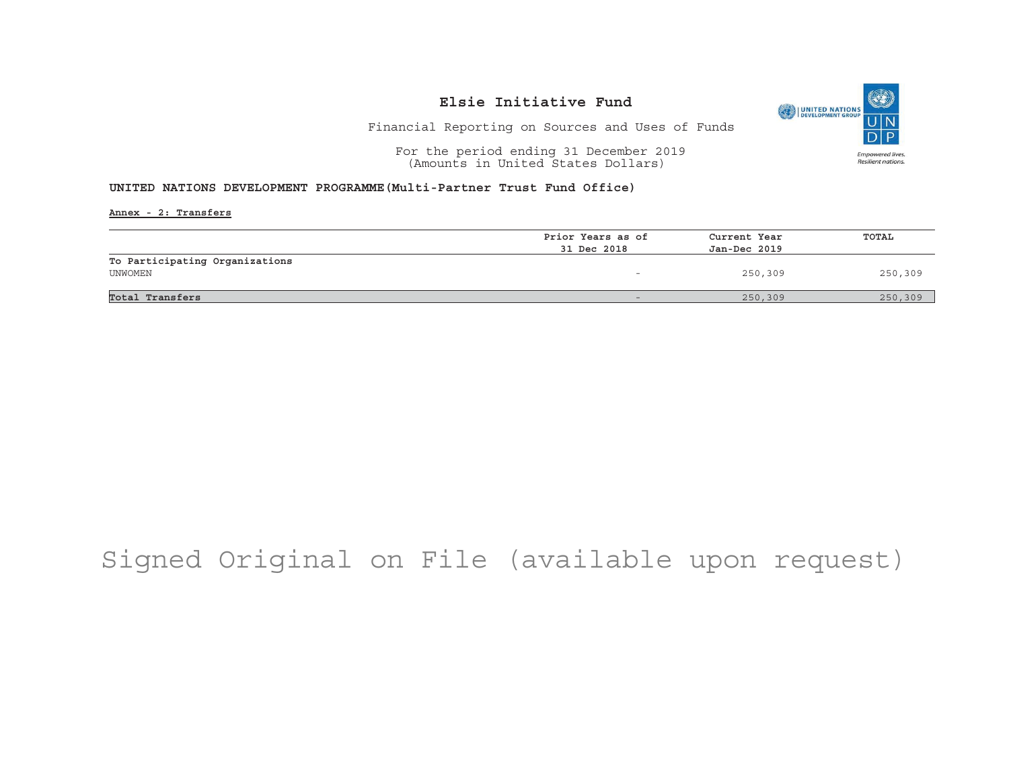

Financial Reporting on Sources and Uses of Funds

For the period ending 31 December 2019 (Amounts in United States Dollars)

#### **UNITED NATIONS DEVELOPMENT PROGRAMME(Multi-Partner Trust Fund Office)**

**Annex - 2: Transfers**

|                                | Prior Years as of | Current Year<br>Jan-Dec 2019 | TOTAL   |
|--------------------------------|-------------------|------------------------------|---------|
|                                | 31 Dec 2018       |                              |         |
| To Participating Organizations |                   |                              |         |
| UNWOMEN                        |                   | 250,309                      | 250,309 |
|                                |                   |                              |         |
| Total Transfers                |                   | 250,309                      | 250,309 |

# Signed Original on File (available upon request)